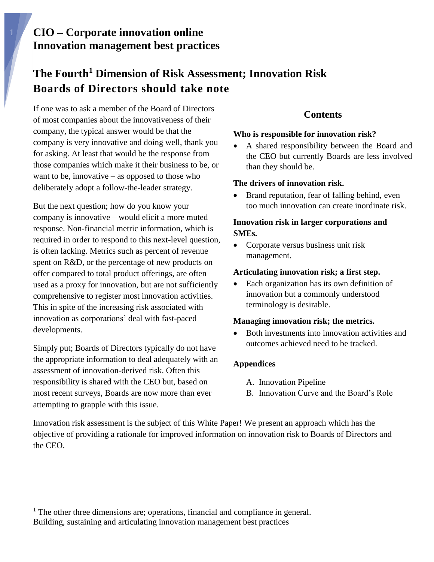# **The Fourth<sup>1</sup> Dimension of Risk Assessment; Innovation Risk Boards of Directors should take note**

If one was to ask a member of the Board of Directors of most companies about the innovativeness of their company, the typical answer would be that the company is very innovative and doing well, thank you for asking. At least that would be the response from those companies which make it their business to be, or want to be, innovative – as opposed to those who deliberately adopt a follow-the-leader strategy.

But the next question; how do you know your company is innovative – would elicit a more muted response. Non-financial metric information, which is required in order to respond to this next-level question, is often lacking. Metrics such as percent of revenue spent on R&D, or the percentage of new products on offer compared to total product offerings, are often used as a proxy for innovation, but are not sufficiently comprehensive to register most innovation activities. This in spite of the increasing risk associated with innovation as corporations' deal with fast-paced developments.

Simply put; Boards of Directors typically do not have the appropriate information to deal adequately with an assessment of innovation-derived risk. Often this responsibility is shared with the CEO but, based on most recent surveys, Boards are now more than ever attempting to grapple with this issue.

### **Contents**

### **Who is responsible for innovation risk?**

 A shared responsibility between the Board and the CEO but currently Boards are less involved than they should be.

### **The drivers of innovation risk.**

 Brand reputation, fear of falling behind, even too much innovation can create inordinate risk.

### **Innovation risk in larger corporations and SMEs.**

• Corporate versus business unit risk management.

### **Articulating innovation risk; a first step.**

• Each organization has its own definition of innovation but a commonly understood terminology is desirable.

### **Managing innovation risk; the metrics.**

• Both investments into innovation activities and outcomes achieved need to be tracked.

### **Appendices**

- A. Innovation Pipeline
- B. Innovation Curve and the Board's Role

Innovation risk assessment is the subject of this White Paper! We present an approach which has the objective of providing a rationale for improved information on innovation risk to Boards of Directors and the CEO.

Building, sustaining and articulating innovation management best practices  $<sup>1</sup>$  The other three dimensions are; operations, financial and compliance in general.</sup>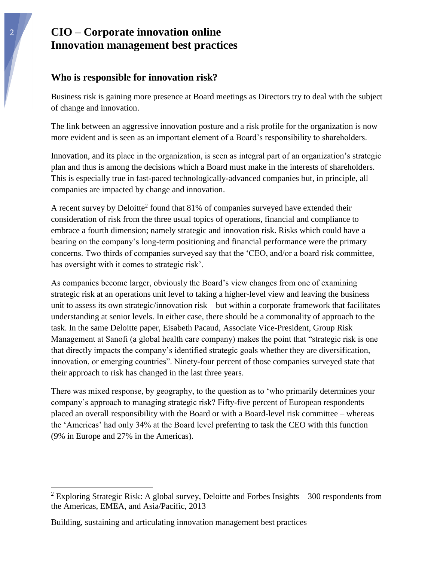### **Who is responsible for innovation risk?**

Business risk is gaining more presence at Board meetings as Directors try to deal with the subject of change and innovation.

The link between an aggressive innovation posture and a risk profile for the organization is now more evident and is seen as an important element of a Board's responsibility to shareholders.

Innovation, and its place in the organization, is seen as integral part of an organization's strategic plan and thus is among the decisions which a Board must make in the interests of shareholders. This is especially true in fast-paced technologically-advanced companies but, in principle, all companies are impacted by change and innovation.

A recent survey by Deloitte<sup>2</sup> found that 81% of companies surveyed have extended their consideration of risk from the three usual topics of operations, financial and compliance to embrace a fourth dimension; namely strategic and innovation risk. Risks which could have a bearing on the company's long-term positioning and financial performance were the primary concerns. Two thirds of companies surveyed say that the 'CEO, and/or a board risk committee, has oversight with it comes to strategic risk'.

As companies become larger, obviously the Board's view changes from one of examining strategic risk at an operations unit level to taking a higher-level view and leaving the business unit to assess its own strategic/innovation risk – but within a corporate framework that facilitates understanding at senior levels. In either case, there should be a commonality of approach to the task. In the same Deloitte paper, Eisabeth Pacaud, Associate Vice-President, Group Risk Management at Sanofi (a global health care company) makes the point that "strategic risk is one that directly impacts the company's identified strategic goals whether they are diversification, innovation, or emerging countries". Ninety-four percent of those companies surveyed state that their approach to risk has changed in the last three years.

There was mixed response, by geography, to the question as to 'who primarily determines your company's approach to managing strategic risk? Fifty-five percent of European respondents placed an overall responsibility with the Board or with a Board-level risk committee – whereas the 'Americas' had only 34% at the Board level preferring to task the CEO with this function (9% in Europe and 27% in the Americas).

<sup>&</sup>lt;sup>2</sup> Exploring Strategic Risk: A global survey, Deloitte and Forbes Insights  $-300$  respondents from the Americas, EMEA, and Asia/Pacific, 2013

Building, sustaining and articulating innovation management best practices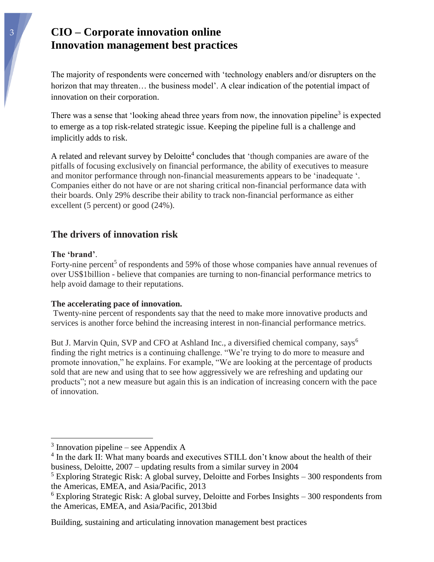The majority of respondents were concerned with 'technology enablers and/or disrupters on the horizon that may threaten... the business model'. A clear indication of the potential impact of innovation on their corporation.

There was a sense that 'looking ahead three years from now, the innovation pipeline<sup>3</sup> is expected to emerge as a top risk-related strategic issue. Keeping the pipeline full is a challenge and implicitly adds to risk.

A related and relevant survey by Deloitte<sup>4</sup> concludes that 'though companies are aware of the pitfalls of focusing exclusively on financial performance, the ability of executives to measure and monitor performance through non-financial measurements appears to be 'inadequate '. Companies either do not have or are not sharing critical non-financial performance data with their boards. Only 29% describe their ability to track non-financial performance as either excellent (5 percent) or good (24%).

### **The drivers of innovation risk**

#### **The 'brand'**.

1

Forty-nine percent<sup>5</sup> of respondents and 59% of those whose companies have annual revenues of over US\$1billion - believe that companies are turning to non-financial performance metrics to help avoid damage to their reputations.

#### **The accelerating pace of innovation.**

Twenty-nine percent of respondents say that the need to make more innovative products and services is another force behind the increasing interest in non-financial performance metrics.

But J. Marvin Quin, SVP and CFO at Ashland Inc., a diversified chemical company, says<sup>6</sup> finding the right metrics is a continuing challenge. "We're trying to do more to measure and promote innovation," he explains. For example, "We are looking at the percentage of products sold that are new and using that to see how aggressively we are refreshing and updating our products"; not a new measure but again this is an indication of increasing concern with the pace of innovation.

 $3$  Innovation pipeline – see Appendix A

<sup>&</sup>lt;sup>4</sup> In the dark II: What many boards and executives STILL don't know about the health of their business, Deloitte, 2007 – updating results from a similar survey in 2004

 $5$  Exploring Strategic Risk: A global survey, Deloitte and Forbes Insights  $-300$  respondents from the Americas, EMEA, and Asia/Pacific, 2013

 $6$  Exploring Strategic Risk: A global survey, Deloitte and Forbes Insights  $-300$  respondents from the Americas, EMEA, and Asia/Pacific, 2013bid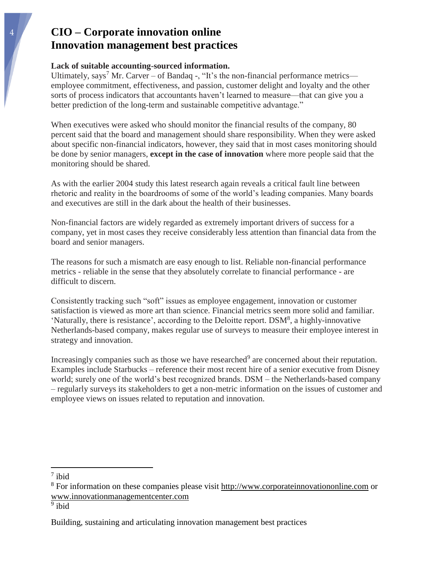#### **Lack of suitable accounting-sourced information.**

Ultimately, says<sup>7</sup> Mr. Carver – of Bandaq -, "It's the non-financial performance metrics employee commitment, effectiveness, and passion, customer delight and loyalty and the other sorts of process indicators that accountants haven't learned to measure—that can give you a better prediction of the long-term and sustainable competitive advantage."

When executives were asked who should monitor the financial results of the company, 80 percent said that the board and management should share responsibility. When they were asked about specific non-financial indicators, however, they said that in most cases monitoring should be done by senior managers, **except in the case of innovation** where more people said that the monitoring should be shared.

As with the earlier 2004 study this latest research again reveals a critical fault line between rhetoric and reality in the boardrooms of some of the world's leading companies. Many boards and executives are still in the dark about the health of their businesses.

Non-financial factors are widely regarded as extremely important drivers of success for a company, yet in most cases they receive considerably less attention than financial data from the board and senior managers.

The reasons for such a mismatch are easy enough to list. Reliable non-financial performance metrics - reliable in the sense that they absolutely correlate to financial performance - are difficult to discern.

Consistently tracking such "soft" issues as employee engagement, innovation or customer satisfaction is viewed as more art than science. Financial metrics seem more solid and familiar. 'Naturally, there is resistance', according to the Deloitte report. DSM<sup>8</sup>, a highly-innovative Netherlands-based company, makes regular use of surveys to measure their employee interest in strategy and innovation.

Increasingly companies such as those we have researched<sup>9</sup> are concerned about their reputation. Examples include Starbucks – reference their most recent hire of a senior executive from Disney world; surely one of the world's best recognized brands. DSM – the Netherlands-based company – regularly surveys its stakeholders to get a non-metric information on the issues of customer and employee views on issues related to reputation and innovation.

 $\overline{a}$ 

<sup>8</sup> For information on these companies please visit [http://www.corporateinnovationonline.com](http://www.corporateinnovationonline.com/) or [www.innovationmanagementcenter.com](http://www.innovationmanagementcenter.com/)

<sup>7</sup> ibid

<sup>&</sup>lt;sup>9</sup> ibid

Building, sustaining and articulating innovation management best practices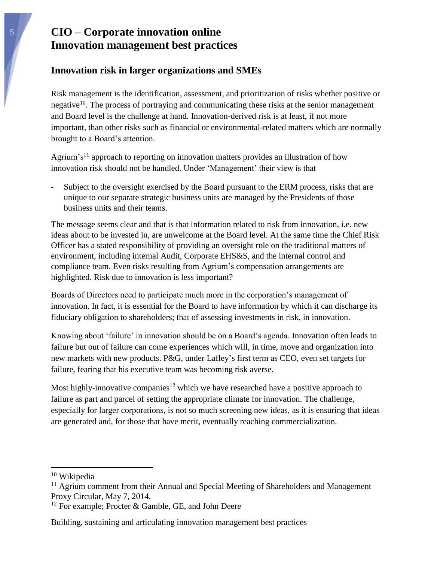### **Innovation risk in larger organizations and SMEs**

Risk management is the identification, assessment, and prioritization of risks whether positive or negative<sup>10</sup>. The process of portraying and communicating these risks at the senior management and Board level is the challenge at hand. Innovation-derived risk is at least, if not more important, than other risks such as financial or environmental-related matters which are normally brought to a Board's attention.

Agrium's<sup>11</sup> approach to reporting on innovation matters provides an illustration of how innovation risk should not be handled. Under 'Management' their view is that

Subject to the oversight exercised by the Board pursuant to the ERM process, risks that are unique to our separate strategic business units are managed by the Presidents of those business units and their teams.

The message seems clear and that is that information related to risk from innovation, i.e. new ideas about to be invested in, are unwelcome at the Board level. At the same time the Chief Risk Officer has a stated responsibility of providing an oversight role on the traditional matters of environment, including internal Audit, Corporate EHS&S, and the internal control and compliance team. Even risks resulting from Agrium's compensation arrangements are highlighted. Risk due to innovation is less important?

Boards of Directors need to participate much more in the corporation's management of innovation. In fact, it is essential for the Board to have information by which it can discharge its fiduciary obligation to shareholders; that of assessing investments in risk, in innovation.

Knowing about 'failure' in innovation should be on a Board's agenda. Innovation often leads to failure but out of failure can come experiences which will, in time, move and organization into new markets with new products. P&G, under Lafley's first term as CEO, even set targets for failure, fearing that his executive team was becoming risk averse.

Most highly-innovative companies<sup>12</sup> which we have researched have a positive approach to failure as part and parcel of setting the appropriate climate for innovation. The challenge, especially for larger corporations, is not so much screening new ideas, as it is ensuring that ideas are generated and, for those that have merit, eventually reaching commercialization.

 $\overline{a}$ 

<sup>10</sup> Wikipedia

 $11$  Agrium comment from their Annual and Special Meeting of Shareholders and Management Proxy Circular, May 7, 2014.

 $12$  For example; Procter & Gamble, GE, and John Deere

Building, sustaining and articulating innovation management best practices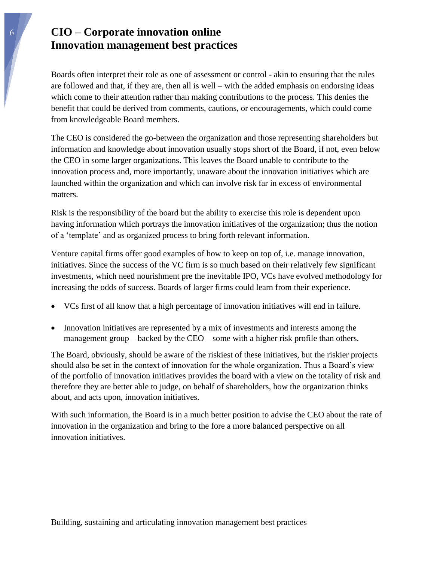Boards often interpret their role as one of assessment or control - akin to ensuring that the rules are followed and that, if they are, then all is well – with the added emphasis on endorsing ideas which come to their attention rather than making contributions to the process. This denies the benefit that could be derived from comments, cautions, or encouragements, which could come from knowledgeable Board members.

The CEO is considered the go-between the organization and those representing shareholders but information and knowledge about innovation usually stops short of the Board, if not, even below the CEO in some larger organizations. This leaves the Board unable to contribute to the innovation process and, more importantly, unaware about the innovation initiatives which are launched within the organization and which can involve risk far in excess of environmental matters.

Risk is the responsibility of the board but the ability to exercise this role is dependent upon having information which portrays the innovation initiatives of the organization; thus the notion of a 'template' and as organized process to bring forth relevant information.

Venture capital firms offer good examples of how to keep on top of, i.e. manage innovation, initiatives. Since the success of the VC firm is so much based on their relatively few significant investments, which need nourishment pre the inevitable IPO, VCs have evolved methodology for increasing the odds of success. Boards of larger firms could learn from their experience.

- VCs first of all know that a high percentage of innovation initiatives will end in failure.
- Innovation initiatives are represented by a mix of investments and interests among the management group – backed by the CEO – some with a higher risk profile than others.

The Board, obviously, should be aware of the riskiest of these initiatives, but the riskier projects should also be set in the context of innovation for the whole organization. Thus a Board's view of the portfolio of innovation initiatives provides the board with a view on the totality of risk and therefore they are better able to judge, on behalf of shareholders, how the organization thinks about, and acts upon, innovation initiatives.

With such information, the Board is in a much better position to advise the CEO about the rate of innovation in the organization and bring to the fore a more balanced perspective on all innovation initiatives.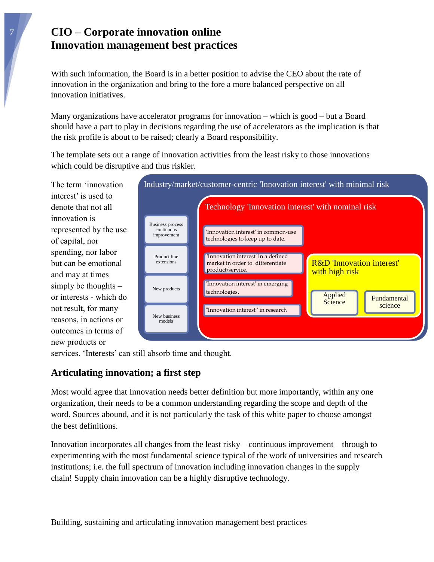With such information, the Board is in a better position to advise the CEO about the rate of innovation in the organization and bring to the fore a more balanced perspective on all innovation initiatives.

Many organizations have accelerator programs for innovation – which is good – but a Board should have a part to play in decisions regarding the use of accelerators as the implication is that the risk profile is about to be raised; clearly a Board responsibility.

The template sets out a range of innovation activities from the least risky to those innovations which could be disruptive and thus riskier.

The term 'innovation interest' is used to denote that not all innovation is represented by the use of capital, nor spending, nor labor but can be emotional and may at times simply be thoughts – or interests - which do not result, for many reasons, in actions or outcomes in terms of new products or



services. 'Interests' can still absorb time and thought.

## **Articulating innovation; a first step**

Most would agree that Innovation needs better definition but more importantly, within any one organization, their needs to be a common understanding regarding the scope and depth of the word. Sources abound, and it is not particularly the task of this white paper to choose amongst the best definitions.

Innovation incorporates all changes from the least risky – continuous improvement – through to experimenting with the most fundamental science typical of the work of universities and research institutions; i.e. the full spectrum of innovation including innovation changes in the supply chain! Supply chain innovation can be a highly disruptive technology.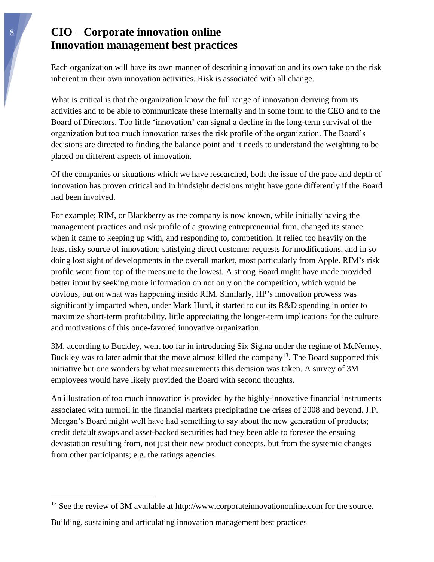Each organization will have its own manner of describing innovation and its own take on the risk inherent in their own innovation activities. Risk is associated with all change.

What is critical is that the organization know the full range of innovation deriving from its activities and to be able to communicate these internally and in some form to the CEO and to the Board of Directors. Too little 'innovation' can signal a decline in the long-term survival of the organization but too much innovation raises the risk profile of the organization. The Board's decisions are directed to finding the balance point and it needs to understand the weighting to be placed on different aspects of innovation.

Of the companies or situations which we have researched, both the issue of the pace and depth of innovation has proven critical and in hindsight decisions might have gone differently if the Board had been involved.

For example; RIM, or Blackberry as the company is now known, while initially having the management practices and risk profile of a growing entrepreneurial firm, changed its stance when it came to keeping up with, and responding to, competition. It relied too heavily on the least risky source of innovation; satisfying direct customer requests for modifications, and in so doing lost sight of developments in the overall market, most particularly from Apple. RIM's risk profile went from top of the measure to the lowest. A strong Board might have made provided better input by seeking more information on not only on the competition, which would be obvious, but on what was happening inside RIM. Similarly, HP's innovation prowess was significantly impacted when, under Mark Hurd, it started to cut its R&D spending in order to maximize short-term profitability, little appreciating the longer-term implications for the culture and motivations of this once-favored innovative organization.

3M, according to Buckley, went too far in introducing Six Sigma under the regime of McNerney. Buckley was to later admit that the move almost killed the company<sup>13</sup>. The Board supported this initiative but one wonders by what measurements this decision was taken. A survey of 3M employees would have likely provided the Board with second thoughts.

An illustration of too much innovation is provided by the highly-innovative financial instruments associated with turmoil in the financial markets precipitating the crises of 2008 and beyond. J.P. Morgan's Board might well have had something to say about the new generation of products; credit default swaps and asset-backed securities had they been able to foresee the ensuing devastation resulting from, not just their new product concepts, but from the systemic changes from other participants; e.g. the ratings agencies.

 $13$  See the review of 3M available at [http://www.corporateinnovationonline.com](http://www.corporateinnovationonline.com/) for the source.

Building, sustaining and articulating innovation management best practices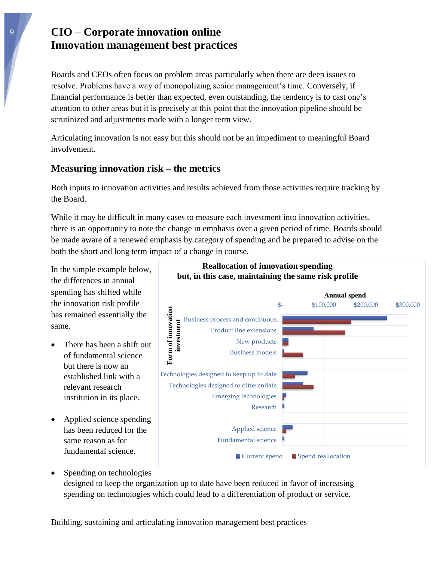Boards and CEOs often focus on problem areas particularly when there are deep issues to resolve. Problems have a way of monopolizing senior management's time. Conversely, if financial performance is better than expected, even outstanding, the tendency is to cast one's attention to other areas but it is precisely at this point that the innovation pipeline should be scrutinized and adjustments made with a longer term view.

Articulating innovation is not easy but this should not be an impediment to meaningful Board involvement.

### **Measuring innovation risk – the metrics**

Both inputs to innovation activities and results achieved from those activities require tracking by the Board.

While it may be difficult in many cases to measure each investment into innovation activities, there is an opportunity to note the change in emphasis over a given period of time. Boards should be made aware of a renewed emphasis by category of spending and be prepared to advise on the both the short and long term impact of a change in course.

In the simple example below, the differences in annual spending has shifted while the innovation risk profile has remained essentially the same.

- There has been a shift out of fundamental science but there is now an established link with a relevant research institution in its place.
- Applied science spending has been reduced for the same reason as for fundamental science.



 Spending on technologies designed to keep the organization up to date have been reduced in favor of increasing spending on technologies which could lead to a differentiation of product or service.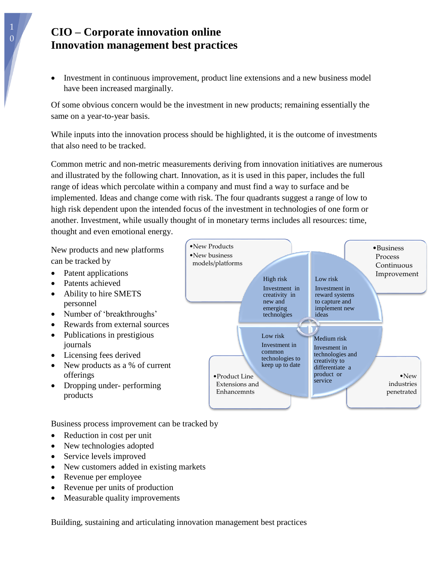Investment in continuous improvement, product line extensions and a new business model have been increased marginally.

Of some obvious concern would be the investment in new products; remaining essentially the same on a year-to-year basis.

While inputs into the innovation process should be highlighted, it is the outcome of investments that also need to be tracked.

Common metric and non-metric measurements deriving from innovation initiatives are numerous and illustrated by the following chart. Innovation, as it is used in this paper, includes the full range of ideas which percolate within a company and must find a way to surface and be implemented. Ideas and change come with risk. The four quadrants suggest a range of low to high risk dependent upon the intended focus of the investment in technologies of one form or another. Investment, while usually thought of in monetary terms includes all resources: time, thought and even emotional energy.

•New Products

New products and new platforms can be tracked by

- Patent applications
- Patents achieved
- Ability to hire SMETS personnel
- Number of 'breakthroughs'
- Rewards from external sources
- Publications in prestigious journals
- Licensing fees derived
- New products as a % of current offerings
- Dropping under- performing products

•New industries penetrated •Product Line Extensions and Enhancemnts Process Continuous Improvement •New business models/platforms High risk Investment in creativity in new and emerging technolgies Low risk Investment in reward systems to capture and implement new ideas Medium risk Invesment in technologies and creativity to differentiate a product or service Low risk Investment in common technologies to keep up to date

•Business

Business process improvement can be tracked by

- Reduction in cost per unit
- New technologies adopted
- Service levels improved
- New customers added in existing markets
- Revenue per employee
- Revenue per units of production
- Measurable quality improvements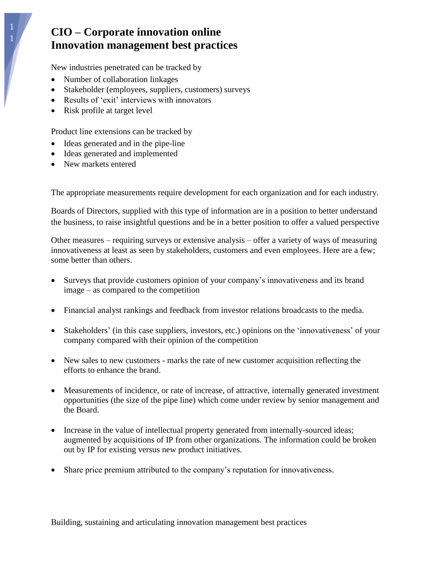New industries penetrated can be tracked by

- Number of collaboration linkages
- Stakeholder (employees, suppliers, customers) surveys
- Results of 'exit' interviews with innovators
- Risk profile at target level

Product line extensions can be tracked by

- Ideas generated and in the pipe-line
- Ideas generated and implemented
- New markets entered

The appropriate measurements require development for each organization and for each industry.

Boards of Directors, supplied with this type of information are in a position to better understand the business, to raise insightful questions and be in a better position to offer a valued perspective

Other measures – requiring surveys or extensive analysis – offer a variety of ways of measuring innovativeness at least as seen by stakeholders, customers and even employees. Here are a few; some better than others.

- Surveys that provide customers opinion of your company's innovativeness and its brand image – as compared to the competition
- Financial analyst rankings and feedback from investor relations broadcasts to the media.
- Stakeholders' (in this case suppliers, investors, etc.) opinions on the 'innovativeness' of your company compared with their opinion of the competition
- New sales to new customers marks the rate of new customer acquisition reflecting the efforts to enhance the brand.
- Measurements of incidence, or rate of increase, of attractive, internally generated investment opportunities (the size of the pipe line) which come under review by senior management and the Board.
- Increase in the value of intellectual property generated from internally-sourced ideas; augmented by acquisitions of IP from other organizations. The information could be broken out by IP for existing versus new product initiatives.
- Share price premium attributed to the company's reputation for innovativeness.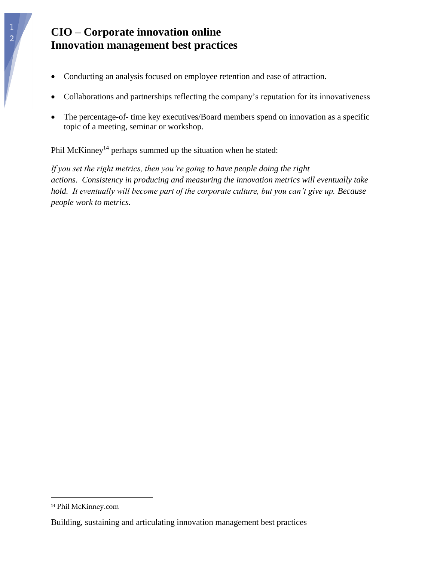- Conducting an analysis focused on employee retention and ease of attraction.
- Collaborations and partnerships reflecting the company's reputation for its innovativeness
- The percentage-of- time key executives/Board members spend on innovation as a specific topic of a meeting, seminar or workshop.

Phil McKinney<sup>14</sup> perhaps summed up the situation when he stated:

*If you set the right metrics, then you're going to have people doing the right actions. Consistency in producing and measuring the innovation metrics will eventually take hold. It eventually will become part of the corporate culture, but you can't give up. Because people work to metrics.*

<sup>14</sup> Phil McKinney.com

Building, sustaining and articulating innovation management best practices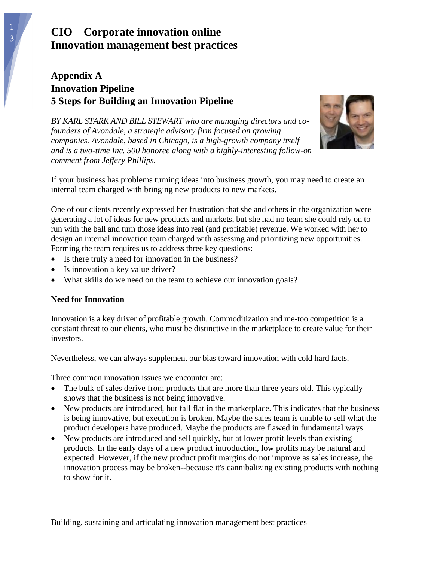## **Appendix A Innovation Pipeline 5 Steps for Building an Innovation Pipeline**



*BY KARL STARK AND BILL [STEWART](http://www.inc.com/author/karl-stark-and-bill-stewart) who are managing directors and cofounders of Avondale, a strategic advisory firm focused on growing companies. Avondale, based in Chicago, is a high-growth company itself and is a two-time Inc. 500 honoree along with a highly-interesting follow-on comment from Jeffery Phillips.*

If your business has problems turning ideas into business growth, you may need to create an internal team charged with bringing new products to new markets.

One of our clients recently expressed her frustration that she and others in the organization were generating a lot of ideas for new products and markets, but she had no team she could rely on to run with the ball and turn those ideas into real (and profitable) revenue. We worked with her to design an internal innovation team charged with assessing and prioritizing new opportunities. Forming the team requires us to address three key questions:

- Is there truly a need for innovation in the business?
- Is innovation a key value driver?
- What skills do we need on the team to achieve our innovation [goals?](http://www.inc.com/kevin-daum/8-ways-to-become-a-better-boss.html?cid=ls01701becomingalead&lc=int_mb_1001)

### **Need for Innovation**

Innovation is a key driver of profitable growth. Commoditization and me-too competition is a constant threat to our clients, who must be distinctive in the marketplace to create value for their investors.

Nevertheless, we can always supplement our bias toward innovation with cold hard facts.

Three common innovation issues we encounter are:

- The bulk of sales derive from products that are more than three years old. This typically shows that the business is not being innovative.
- New products are introduced, but fall flat in the marketplace. This indicates that the business is being innovative, but execution is broken. Maybe the sales [team](http://www.inc.com/jessica-stillman/gifts-for-employees-that-dont-cost-a-dime.html?cid=ls01701businessgifts&lc=int_mb_1001) is unable to sell what the product developers have produced. Maybe the products are flawed in fundamental ways.
- New products are introduced and sell quickly, but at lower profit levels than existing products*.* In the early days of a new product introduction, low profits may be natural and expected. However, if the new product profit margins do not improve as sales increase, the innovation process may be broken--because it's cannibalizing existing products with nothing to show for it.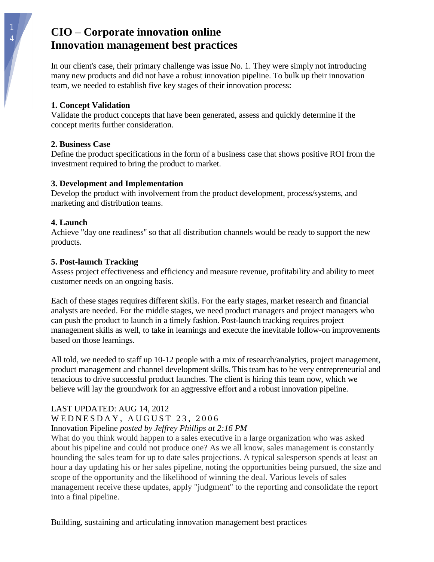In our client's case, their primary challenge was issue No. 1. They were simply not introducing many new products and did not have a robust innovation pipeline. To bulk up their innovation team, we needed to establish five key stages of their innovation process:

### **1. Concept Validation**

Validate the product concepts that have been generated, assess and quickly determine if the concept merits further consideration.

### **2. Business Case**

Define the product specifications in the form of a business case that shows positive ROI from the investment required to bring the product to market.

### **3. Development and Implementation**

Develop the product with involvement from the product development, process/systems, and marketing and distribution teams.

### **4. Launch**

Achieve "day one readiness" so that all distribution channels would be ready to support the new products.

### **5. Post-launch Tracking**

Assess project effectiveness and efficiency and measure revenue, profitability and ability to meet customer needs on an ongoing basis.

Each of these stages requires different skills. For the early stages, market research and financial analysts are needed. For the middle stages, we need product managers and project managers who can push the product to launch in a timely fashion. Post-launch tracking requires project management skills as well, to take in learnings and execute the inevitable follow-on improvements based on those learnings.

All told, we needed to staff up 10-12 people with a mix of research/analytics, project management, product management and channel development skills. This team has to be very entrepreneurial and tenacious to drive successful product launches. The client is hiring this team now, which we believe will lay the groundwork for an aggressive effort and a robust innovation pipeline.

#### LAST UPDATED: AUG 14, 2012 WEDNESDAY, AUGUST 23, 2006 Innovation Pipeline *posted by Jeffrey Phillips at [2:16 PM](http://innovateonpurpose.blogspot.ca/2006/08/innovation-pipeline.html)*

What do you think would happen to a sales executive in a large organization who was asked about his pipeline and could not produce one? As we all know, sales management is constantly hounding the sales team for up to date sales projections. A typical salesperson spends at least an hour a day updating his or her sales pipeline, noting the opportunities being pursued, the size and scope of the opportunity and the likelihood of winning the deal. Various levels of sales management receive these updates, apply "judgment" to the reporting and consolidate the report into a final pipeline.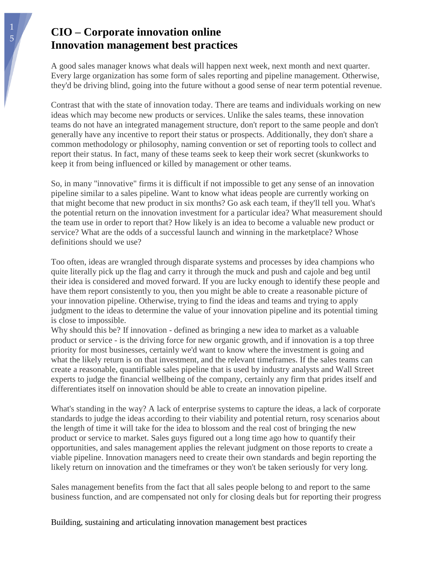A good sales manager knows what deals will happen next week, next month and next quarter. Every large organization has some form of sales reporting and pipeline management. Otherwise, they'd be driving blind, going into the future without a good sense of near term potential revenue.

Contrast that with the state of innovation today. There are teams and individuals working on new ideas which may become new products or services. Unlike the sales teams, these innovation teams do not have an integrated management structure, don't report to the same people and don't generally have any incentive to report their status or prospects. Additionally, they don't share a common methodology or philosophy, naming convention or set of reporting tools to collect and report their status. In fact, many of these teams seek to keep their work secret (skunkworks to keep it from being influenced or killed by management or other teams.

So, in many "innovative" firms it is difficult if not impossible to get any sense of an innovation pipeline similar to a sales pipeline. Want to know what ideas people are currently working on that might become that new product in six months? Go ask each team, if they'll tell you. What's the potential return on the innovation investment for a particular idea? What measurement should the team use in order to report that? How likely is an idea to become a valuable new product or service? What are the odds of a successful launch and winning in the marketplace? Whose definitions should we use?

Too often, ideas are wrangled through disparate systems and processes by idea champions who quite literally pick up the flag and carry it through the muck and push and cajole and beg until their idea is considered and moved forward. If you are lucky enough to identify these people and have them report consistently to you, then you might be able to create a reasonable picture of your innovation pipeline. Otherwise, trying to find the ideas and teams and trying to apply judgment to the ideas to determine the value of your innovation pipeline and its potential timing is close to impossible.

Why should this be? If innovation - defined as bringing a new idea to market as a valuable product or service - is the driving force for new organic growth, and if innovation is a top three priority for most businesses, certainly we'd want to know where the investment is going and what the likely return is on that investment, and the relevant timeframes. If the sales teams can create a reasonable, quantifiable sales pipeline that is used by industry analysts and Wall Street experts to judge the financial wellbeing of the company, certainly any firm that prides itself and differentiates itself on innovation should be able to create an innovation pipeline.

What's standing in the way? A lack of enterprise systems to capture the ideas, a lack of corporate standards to judge the ideas according to their viability and potential return, rosy scenarios about the length of time it will take for the idea to blossom and the real cost of bringing the new product or service to market. Sales guys figured out a long time ago how to quantify their opportunities, and sales management applies the relevant judgment on those reports to create a viable pipeline. Innovation managers need to create their own standards and begin reporting the likely return on innovation and the timeframes or they won't be taken seriously for very long.

Sales management benefits from the fact that all sales people belong to and report to the same business function, and are compensated not only for closing deals but for reporting their progress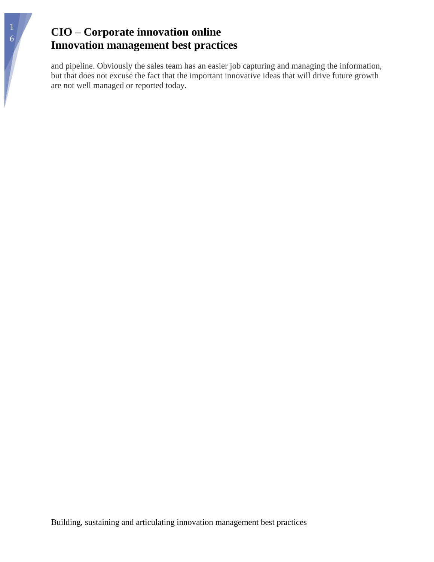and pipeline. Obviously the sales team has an easier job capturing and managing the information, but that does not excuse the fact that the important innovative ideas that will drive future growth are not well managed or reported today.